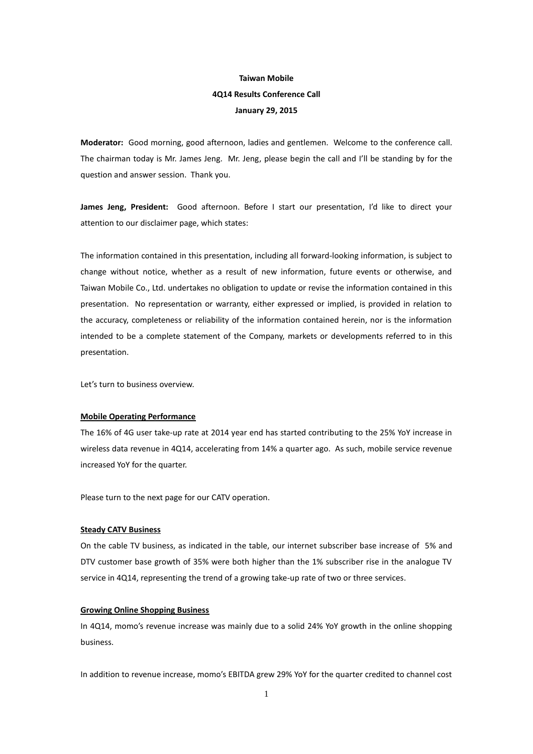# **Taiwan Mobile 4Q14 Results Conference Call January 29, 2015**

**Moderator:** Good morning, good afternoon, ladies and gentlemen. Welcome to the conference call. The chairman today is Mr. James Jeng. Mr. Jeng, please begin the call and I'll be standing by for the question and answer session. Thank you.

**James Jeng, President:** Good afternoon. Before I start our presentation, I'd like to direct your attention to our disclaimer page, which states:

The information contained in this presentation, including all forward-looking information, is subject to change without notice, whether as a result of new information, future events or otherwise, and Taiwan Mobile Co., Ltd. undertakes no obligation to update or revise the information contained in this presentation. No representation or warranty, either expressed or implied, is provided in relation to the accuracy, completeness or reliability of the information contained herein, nor is the information intended to be a complete statement of the Company, markets or developments referred to in this presentation.

Let's turn to business overview.

### **Mobile Operating Performance**

The 16% of 4G user take-up rate at 2014 year end has started contributing to the 25% YoY increase in wireless data revenue in 4Q14, accelerating from 14% a quarter ago. As such, mobile service revenue increased YoY for the quarter.

Please turn to the next page for our CATV operation.

#### **Steady CATV Business**

On the cable TV business, as indicated in the table, our internet subscriber base increase of 5% and DTV customer base growth of 35% were both higher than the 1% subscriber rise in the analogue TV service in 4Q14, representing the trend of a growing take-up rate of two or three services.

#### **Growing Online Shopping Business**

In 4Q14, momo's revenue increase was mainly due to a solid 24% YoY growth in the online shopping business.

In addition to revenue increase, momo's EBITDA grew 29% YoY for the quarter credited to channel cost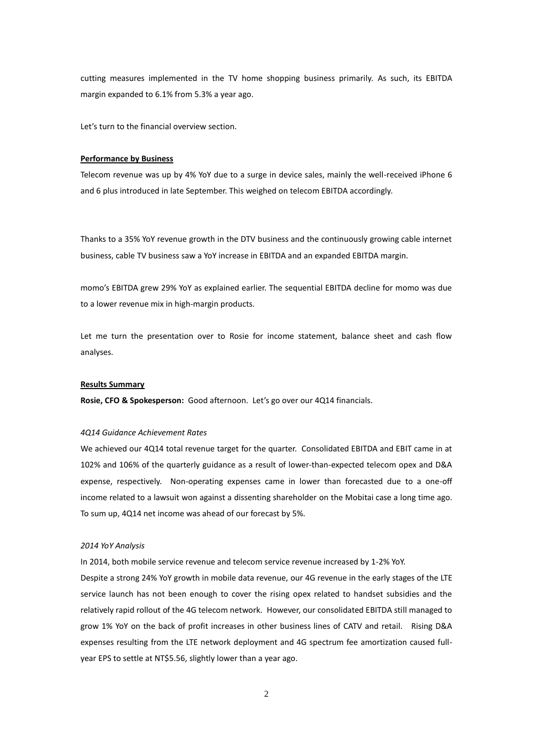cutting measures implemented in the TV home shopping business primarily. As such, its EBITDA margin expanded to 6.1% from 5.3% a year ago.

Let's turn to the financial overview section.

# **Performance by Business**

Telecom revenue was up by 4% YoY due to a surge in device sales, mainly the well-received iPhone 6 and 6 plus introduced in late September. This weighed on telecom EBITDA accordingly.

Thanks to a 35% YoY revenue growth in the DTV business and the continuously growing cable internet business, cable TV business saw a YoY increase in EBITDA and an expanded EBITDA margin.

momo's EBITDA grew 29% YoY as explained earlier. The sequential EBITDA decline for momo was due to a lower revenue mix in high-margin products.

Let me turn the presentation over to Rosie for income statement, balance sheet and cash flow analyses.

#### **Results Summary**

**Rosie, CFO & Spokesperson:** Good afternoon. Let's go over our 4Q14 financials.

### *4Q14 Guidance Achievement Rates*

We achieved our 4Q14 total revenue target for the quarter. Consolidated EBITDA and EBIT came in at 102% and 106% of the quarterly guidance as a result of lower-than-expected telecom opex and D&A expense, respectively. Non-operating expenses came in lower than forecasted due to a one-off income related to a lawsuit won against a dissenting shareholder on the Mobitai case a long time ago. To sum up, 4Q14 net income was ahead of our forecast by 5%.

# *2014 YoY Analysis*

In 2014, both mobile service revenue and telecom service revenue increased by 1-2% YoY.

Despite a strong 24% YoY growth in mobile data revenue, our 4G revenue in the early stages of the LTE service launch has not been enough to cover the rising opex related to handset subsidies and the relatively rapid rollout of the 4G telecom network. However, our consolidated EBITDA still managed to grow 1% YoY on the back of profit increases in other business lines of CATV and retail. Rising D&A expenses resulting from the LTE network deployment and 4G spectrum fee amortization caused fullyear EPS to settle at NT\$5.56, slightly lower than a year ago.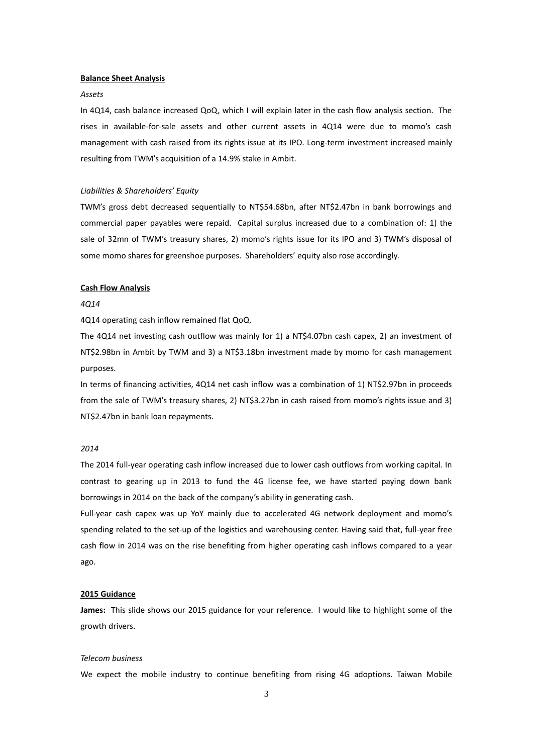### **Balance Sheet Analysis**

# *Assets*

In 4Q14, cash balance increased QoQ, which I will explain later in the cash flow analysis section. The rises in available-for-sale assets and other current assets in 4Q14 were due to momo's cash management with cash raised from its rights issue at its IPO. Long-term investment increased mainly resulting from TWM's acquisition of a 14.9% stake in Ambit.

# *Liabilities & Shareholders' Equity*

TWM's gross debt decreased sequentially to NT\$54.68bn, after NT\$2.47bn in bank borrowings and commercial paper payables were repaid. Capital surplus increased due to a combination of: 1) the sale of 32mn of TWM's treasury shares, 2) momo's rights issue for its IPO and 3) TWM's disposal of some momo shares for greenshoe purposes. Shareholders' equity also rose accordingly.

### **Cash Flow Analysis**

### *4Q14*

4Q14 operating cash inflow remained flat QoQ.

The 4Q14 net investing cash outflow was mainly for 1) a NT\$4.07bn cash capex, 2) an investment of NT\$2.98bn in Ambit by TWM and 3) a NT\$3.18bn investment made by momo for cash management purposes.

In terms of financing activities, 4Q14 net cash inflow was a combination of 1) NT\$2.97bn in proceeds from the sale of TWM's treasury shares, 2) NT\$3.27bn in cash raised from momo's rights issue and 3) NT\$2.47bn in bank loan repayments.

# *2014*

The 2014 full-year operating cash inflow increased due to lower cash outflows from working capital. In contrast to gearing up in 2013 to fund the 4G license fee, we have started paying down bank borrowings in 2014 on the back of the company's ability in generating cash.

Full-year cash capex was up YoY mainly due to accelerated 4G network deployment and momo's spending related to the set-up of the logistics and warehousing center. Having said that, full-year free cash flow in 2014 was on the rise benefiting from higher operating cash inflows compared to a year ago.

# **2015 Guidance**

**James:** This slide shows our 2015 guidance for your reference. I would like to highlight some of the growth drivers.

### *Telecom business*

We expect the mobile industry to continue benefiting from rising 4G adoptions. Taiwan Mobile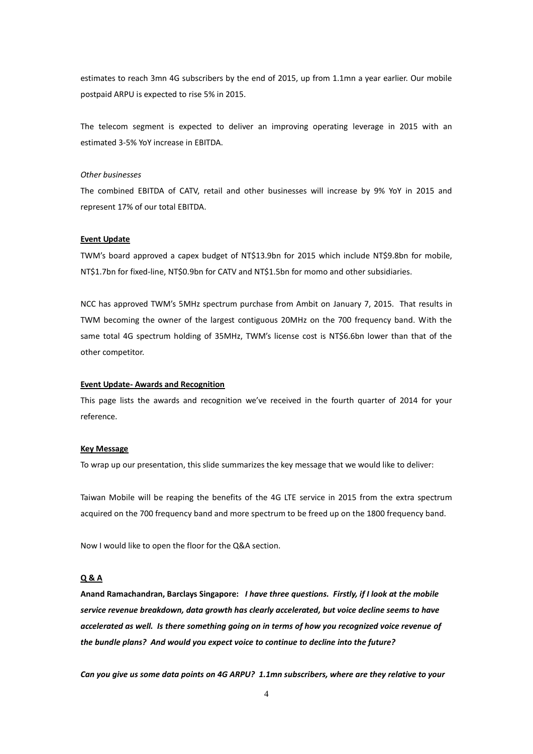estimates to reach 3mn 4G subscribers by the end of 2015, up from 1.1mn a year earlier. Our mobile postpaid ARPU is expected to rise 5% in 2015.

The telecom segment is expected to deliver an improving operating leverage in 2015 with an estimated 3-5% YoY increase in EBITDA.

### *Other businesses*

The combined EBITDA of CATV, retail and other businesses will increase by 9% YoY in 2015 and represent 17% of our total EBITDA.

### **Event Update**

TWM's board approved a capex budget of NT\$13.9bn for 2015 which include NT\$9.8bn for mobile, NT\$1.7bn for fixed-line, NT\$0.9bn for CATV and NT\$1.5bn for momo and other subsidiaries.

NCC has approved TWM's 5MHz spectrum purchase from Ambit on January 7, 2015. That results in TWM becoming the owner of the largest contiguous 20MHz on the 700 frequency band. With the same total 4G spectrum holding of 35MHz, TWM's license cost is NT\$6.6bn lower than that of the other competitor.

### **Event Update- Awards and Recognition**

This page lists the awards and recognition we've received in the fourth quarter of 2014 for your reference.

#### **Key Message**

To wrap up our presentation, this slide summarizes the key message that we would like to deliver:

Taiwan Mobile will be reaping the benefits of the 4G LTE service in 2015 from the extra spectrum acquired on the 700 frequency band and more spectrum to be freed up on the 1800 frequency band.

Now I would like to open the floor for the Q&A section.

# **Q & A**

**Anand Ramachandran, Barclays Singapore:** *I have three questions. Firstly, if I look at the mobile service revenue breakdown, data growth has clearly accelerated, but voice decline seems to have accelerated as well. Is there something going on in terms of how you recognized voice revenue of the bundle plans? And would you expect voice to continue to decline into the future?*

*Can you give us some data points on 4G ARPU? 1.1mn subscribers, where are they relative to your*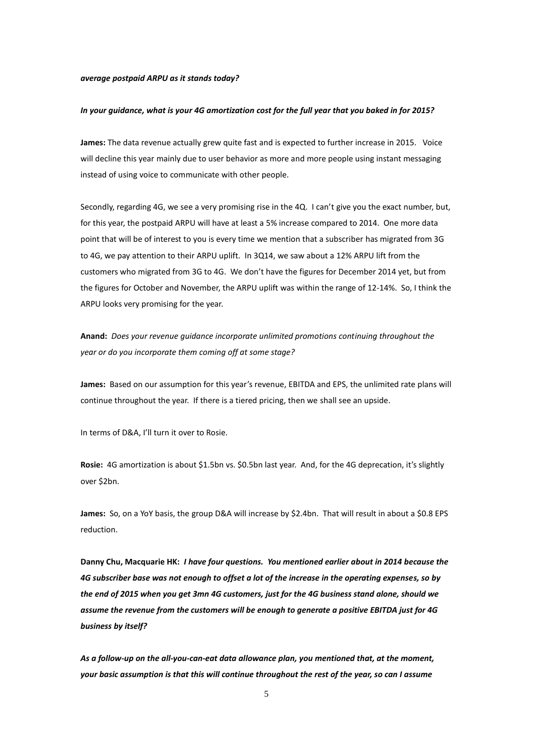### *average postpaid ARPU as it stands today?*

#### *In your guidance, what is your 4G amortization cost for the full year that you baked in for 2015?*

**James:** The data revenue actually grew quite fast and is expected to further increase in 2015. Voice will decline this year mainly due to user behavior as more and more people using instant messaging instead of using voice to communicate with other people.

Secondly, regarding 4G, we see a very promising rise in the 4Q. I can't give you the exact number, but, for this year, the postpaid ARPU will have at least a 5% increase compared to 2014. One more data point that will be of interest to you is every time we mention that a subscriber has migrated from 3G to 4G, we pay attention to their ARPU uplift. In 3Q14, we saw about a 12% ARPU lift from the customers who migrated from 3G to 4G. We don't have the figures for December 2014 yet, but from the figures for October and November, the ARPU uplift was within the range of 12-14%. So, I think the ARPU looks very promising for the year.

**Anand:** *Does your revenue guidance incorporate unlimited promotions continuing throughout the year or do you incorporate them coming off at some stage?*

**James:** Based on our assumption for this year's revenue, EBITDA and EPS, the unlimited rate plans will continue throughout the year. If there is a tiered pricing, then we shall see an upside.

In terms of D&A, I'll turn it over to Rosie.

**Rosie:** 4G amortization is about \$1.5bn vs. \$0.5bn last year. And, for the 4G deprecation, it's slightly over \$2bn.

**James:** So, on a YoY basis, the group D&A will increase by \$2.4bn. That will result in about a \$0.8 EPS reduction.

**Danny Chu, Macquarie HK:** *I have four questions. You mentioned earlier about in 2014 because the 4G subscriber base was not enough to offset a lot of the increase in the operating expenses, so by the end of 2015 when you get 3mn 4G customers, just for the 4G business stand alone, should we assume the revenue from the customers will be enough to generate a positive EBITDA just for 4G business by itself?*

*As a follow-up on the all-you-can-eat data allowance plan, you mentioned that, at the moment, your basic assumption is that this will continue throughout the rest of the year, so can I assume*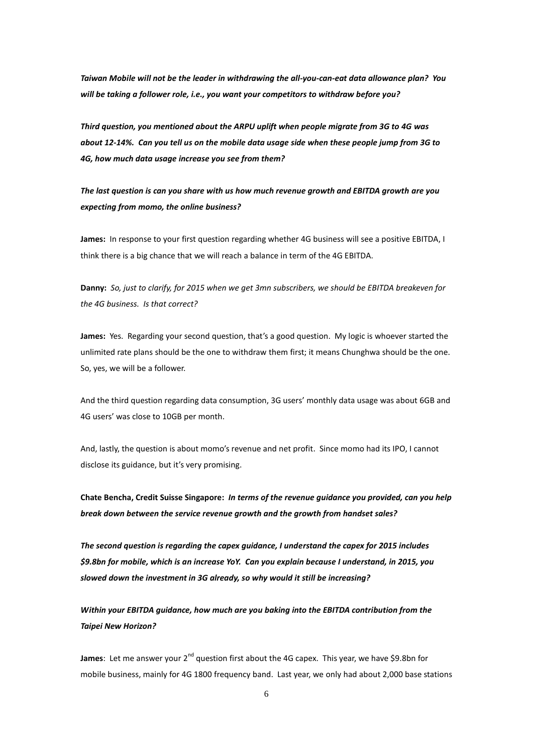*Taiwan Mobile will not be the leader in withdrawing the all-you-can-eat data allowance plan? You will be taking a follower role, i.e., you want your competitors to withdraw before you?*

*Third question, you mentioned about the ARPU uplift when people migrate from 3G to 4G was about 12-14%. Can you tell us on the mobile data usage side when these people jump from 3G to 4G, how much data usage increase you see from them?*

*The last question is can you share with us how much revenue growth and EBITDA growth are you expecting from momo, the online business?* 

**James:** In response to your first question regarding whether 4G business will see a positive EBITDA, I think there is a big chance that we will reach a balance in term of the 4G EBITDA.

**Danny:** *So, just to clarify, for 2015 when we get 3mn subscribers, we should be EBITDA breakeven for the 4G business. Is that correct?*

**James:** Yes. Regarding your second question, that's a good question. My logic is whoever started the unlimited rate plans should be the one to withdraw them first; it means Chunghwa should be the one. So, yes, we will be a follower.

And the third question regarding data consumption, 3G users' monthly data usage was about 6GB and 4G users' was close to 10GB per month.

And, lastly, the question is about momo's revenue and net profit. Since momo had its IPO, I cannot disclose its guidance, but it's very promising.

**Chate Bencha, Credit Suisse Singapore:** *In terms of the revenue guidance you provided, can you help break down between the service revenue growth and the growth from handset sales?*

*The second question is regarding the capex guidance, I understand the capex for 2015 includes \$9.8bn for mobile, which is an increase YoY. Can you explain because I understand, in 2015, you slowed down the investment in 3G already, so why would it still be increasing?*

*Within your EBITDA guidance, how much are you baking into the EBITDA contribution from the Taipei New Horizon?*

**James**: Let me answer your 2<sup>nd</sup> question first about the 4G capex. This year, we have \$9.8bn for mobile business, mainly for 4G 1800 frequency band. Last year, we only had about 2,000 base stations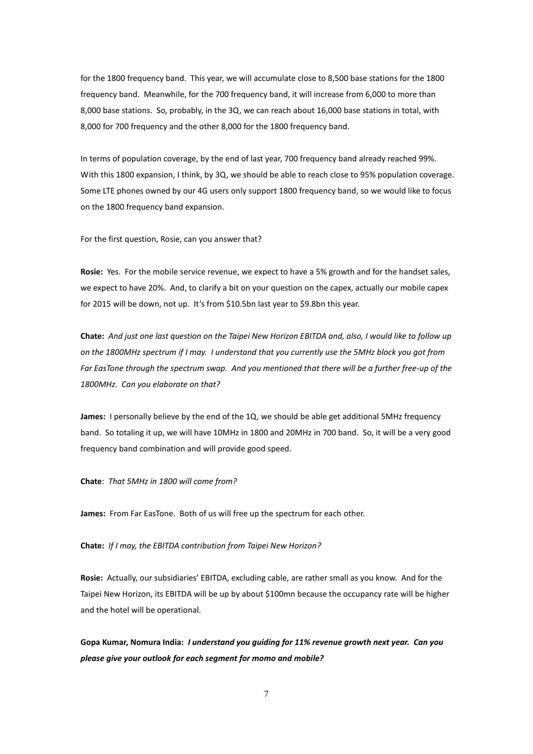for the 1800 frequency band. This year, we will accumulate close to 8,500 base stations for the 1800 frequency band. Meanwhile, for the 700 frequency band, it will increase from 6,000 to more than 8,000 base stations. So, probably, in the 3Q, we can reach about 16,000 base stations in total, with 8,000 for 700 frequency and the other 8,000 for the 1800 frequency band.

In terms of population coverage, by the end of last year, 700 frequency band already reached 99%. With this 1800 expansion, I think, by 3Q, we should be able to reach close to 95% population coverage. Some LTE phones owned by our 4G users only support 1800 frequency band, so we would like to focus on the 1800 frequency band expansion.

For the first question, Rosie, can you answer that?

**Rosie:** Yes. For the mobile service revenue, we expect to have a 5% growth and for the handset sales, we expect to have 20%. And, to clarify a bit on your question on the capex, actually our mobile capex for 2015 will be down, not up. It's from \$10.5bn last year to \$9.8bn this year.

**Chate:** *And just one last question on the Taipei New Horizon EBITDA and, also, I would like to follow up on the 1800MHz spectrum if I may. I understand that you currently use the 5MHz block you got from Far EasTone through the spectrum swap. And you mentioned that there will be a further free-up of the 1800MHz. Can you elaborate on that?*

**James:** I personally believe by the end of the 1Q, we should be able get additional 5MHz frequency band. So totaling it up, we will have 10MHz in 1800 and 20MHz in 700 band. So, it will be a very good frequency band combination and will provide good speed.

**Chate**: *That 5MHz in 1800 will come from?*

**James:** From Far EasTone. Both of us will free up the spectrum for each other.

**Chate:** *If I may, the EBITDA contribution from Taipei New Horizon?*

**Rosie:** Actually, our subsidiaries' EBITDA, excluding cable, are rather small as you know. And for the Taipei New Horizon, its EBITDA will be up by about \$100mn because the occupancy rate will be higher and the hotel will be operational.

**Gopa Kumar, Nomura India:** *I understand you guiding for 11% revenue growth next year. Can you please give your outlook for each segment for momo and mobile?*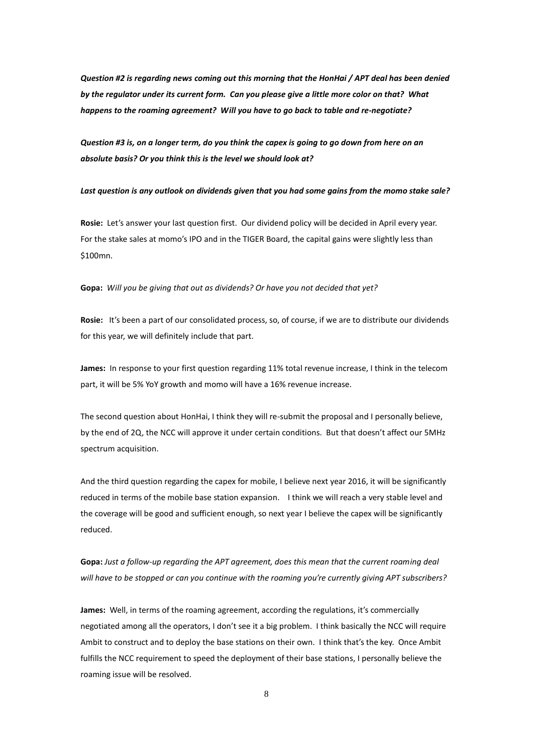*Question #2 is regarding news coming out this morning that the HonHai / APT deal has been denied by the regulator under its current form. Can you please give a little more color on that? What happens to the roaming agreement? Will you have to go back to table and re-negotiate?* 

*Question #3 is, on a longer term, do you think the capex is going to go down from here on an absolute basis? Or you think this is the level we should look at?*

# *Last question is any outlook on dividends given that you had some gains from the momo stake sale?*

**Rosie:** Let's answer your last question first. Our dividend policy will be decided in April every year. For the stake sales at momo's IPO and in the TIGER Board, the capital gains were slightly less than \$100mn.

**Gopa:** *Will you be giving that out as dividends? Or have you not decided that yet?*

**Rosie:** It's been a part of our consolidated process, so, of course, if we are to distribute our dividends for this year, we will definitely include that part.

**James:** In response to your first question regarding 11% total revenue increase, I think in the telecom part, it will be 5% YoY growth and momo will have a 16% revenue increase.

The second question about HonHai, I think they will re-submit the proposal and I personally believe, by the end of 2Q, the NCC will approve it under certain conditions. But that doesn't affect our 5MHz spectrum acquisition.

And the third question regarding the capex for mobile, I believe next year 2016, it will be significantly reduced in terms of the mobile base station expansion. I think we will reach a very stable level and the coverage will be good and sufficient enough, so next year I believe the capex will be significantly reduced.

**Gopa:** *Just a follow-up regarding the APT agreement, does this mean that the current roaming deal will have to be stopped or can you continue with the roaming you're currently giving APT subscribers?*

**James:** Well, in terms of the roaming agreement, according the regulations, it's commercially negotiated among all the operators, I don't see it a big problem. I think basically the NCC will require Ambit to construct and to deploy the base stations on their own. I think that's the key. Once Ambit fulfills the NCC requirement to speed the deployment of their base stations, I personally believe the roaming issue will be resolved.